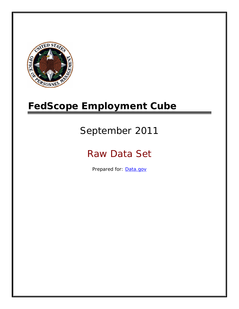

# **FedScope Employment Cube**

# September 2011

# Raw Data Set

Prepared for: [Data.gov](http://www.data.gov/)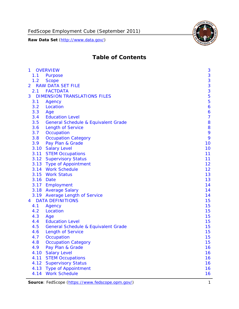

# **Table of Contents**

| $\mathbf{1}$ | <b>OVERVIEW</b>                                | 3              |
|--------------|------------------------------------------------|----------------|
| 1.1          | Purpose                                        | 3              |
| 1.2          | <b>Scope</b>                                   | 3              |
| 2            | <b>RAW DATA SET FILE</b>                       | 3              |
| 2.1          | <b>FACTDATA</b>                                | 3              |
| 3            | <b>DIMENSION TRANSLATIONS FILES</b>            | 5              |
| 3.1          | Agency                                         | 5              |
| 3.2          | Location                                       | 6              |
| 3.3          | Age                                            | 6              |
| 3.4          | <b>Education Level</b>                         | $\overline{7}$ |
| 3.5          | <b>General Schedule &amp; Equivalent Grade</b> | 8              |
| 3.6          | <b>Length of Service</b>                       | 8              |
| 3.7          | Occupation                                     | 9              |
| 3.8          | <b>Occupation Category</b>                     | 9              |
| 3.9          | Pay Plan & Grade                               | 10             |
| 3.10         | <b>Salary Level</b>                            | 10             |
|              | 3.11 STEM Occupations                          | 11             |
|              | 3.12 Supervisory Status                        | 11             |
|              | 3.13 Type of Appointment                       | 12             |
|              | 3.14 Work Schedule                             | 12             |
| 3.15         | <b>Work Status</b>                             | 13             |
|              | 3.16 Date                                      | 13             |
|              | 3.17 Employment                                | 14             |
|              | 3.18 Average Salary                            | 14             |
|              | 3.19 Average Length of Service                 | 14             |
| 4            | <b>DATA DEFINITIONS</b>                        | 15             |
| 4.1          | Agency                                         | 15             |
| 4.2          | Location                                       | 15             |
| 4.3          | Age                                            | 15             |
| 4.4          | <b>Education Level</b>                         | 15             |
| 4.5          | <b>General Schedule &amp; Equivalent Grade</b> | 15             |
| 4.6          | <b>Length of Service</b>                       | 15             |
| 4.7          | Occupation                                     | 15             |
| 4.8          | <b>Occupation Category</b>                     | 15             |
| 4.9          | Pay Plan & Grade                               | 16             |
| 4.10         | <b>Salary Level</b>                            | 16             |
| 4.11         | <b>STEM Occupations</b>                        | 16             |
| 4.12         | <b>Supervisory Status</b>                      | 16             |
| 4.13         | <b>Type of Appointment</b>                     | 16             |
| 4.14         | <b>Work Schedule</b>                           | 16             |

Source: FedScope (https://www.fedscope.opm.gov/) 1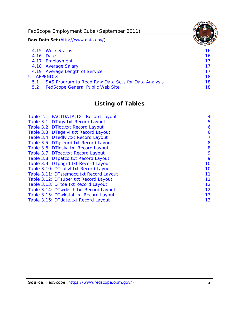FedScope Employment Cube (September 2011)

**Raw Data Set** (http://www.data.gov/)

|               | 4.15 Work Status                                    | 16 |
|---------------|-----------------------------------------------------|----|
|               | 4.16 Date                                           | 16 |
|               | 4.17 Employment                                     | 17 |
|               | 4.18 Average Salary                                 | 17 |
|               | 4.19 Average Length of Service                      | 17 |
|               | 5 APPENDIX                                          | 18 |
| 5.1           | SAS Program to Read Raw Data Sets for Data Analysis | 18 |
| $5.2^{\circ}$ | <b>FedScope General Public Web Site</b>             | 18 |

# **Listing of Tables**

| Table 2.1: FACTDATA.TXT Record Layout   | 4  |
|-----------------------------------------|----|
| Table 3.1: DTagy.txt Record Layout      | 5  |
| Table 3.2: DTloc.txt Record Layout      | 6  |
| Table 3.3: DTagelvl.txt Record Layout   | 6  |
| Table 3.4: DTedlvl.txt Record Layout    | 7  |
| Table 3.5: DTgsegrd.txt Record Layout   | 8  |
| Table 3.6: DTIoslvI.txt Record Layout   | 8  |
| Table 3.7: DTocc.txt Record Layout      | 9  |
| Table 3.8: DTpatco.txt Record Layout    | 9  |
| Table 3.9: DTppgrd.txt Record Layout    | 10 |
| Table 3.10: DTsallvl.txt Record Layout  | 10 |
| Table 3.11: DTstemocc.txt Record Layout | 11 |
| Table 3.12: DTsuper.txt Record Layout   | 11 |
| Table 3.13: DTtoa.txt Record Layout     | 12 |
| Table 3.14: DTwrksch.txt Record Layout  | 12 |
| Table 3.15: DTwkstat.txt Record Layout  | 13 |
| Table 3.16: DTdate.txt Record Layout    | 13 |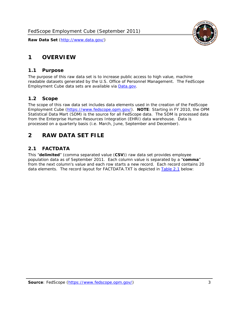# <span id="page-3-0"></span>**1 OVERVIEW**

#### *1.1 Purpose*

<span id="page-3-1"></span>The purpose of this raw data set is to increase public access to high value, machine readable datasets generated by the U.S. Office of Personnel Management. The FedScope Employment Cube data sets are available via [Data.gov](http://www.data.gov/).

## <span id="page-3-2"></span>*1.2 Scope*

The scope of this raw data set includes data elements used in the creation of the FedScope Employment Cube [\(https://www.fedscope.opm.gov/\)](https://www.fedscope.opm.gov/). **NOTE**: Starting in FY 2010, the OPM Statistical Data Mart (SDM) is the source for all FedScope data. The SDM is processed data from the Enterprise Human Resources Integration (EHRI) data warehouse. Data is processed on a quarterly basis (i.e. March, June, September and December).

## <span id="page-3-3"></span>**2 RAW DATA SET FILE**

## <span id="page-3-4"></span>*2.1 FACTDATA*

This "**delimited**" (comma separated value (**CSV**)) raw data set provides employee population data as of September 2011. Each column value is separated by a "**comma**" from the next column's value and each row starts a new record. Each record contains 20 data elements. The record layout for FACTDATA.TXT is depicted in [Table 2.1](#page-4-1) below:

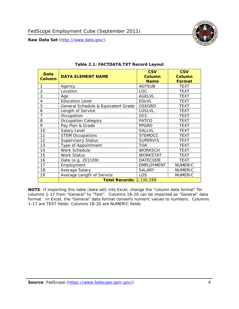<span id="page-4-1"></span><span id="page-4-0"></span>

**NOTE**: If importing this table (data set) into Excel, change the "column data format" for columns 1-17 from "General" to "Text". Columns 18-20 can be imported as "General" data format. In Excel, the "General" data format converts numeric values to numbers. Columns 1-17 are TEXT fields; Columns 18-20 are NUMERIC fields.

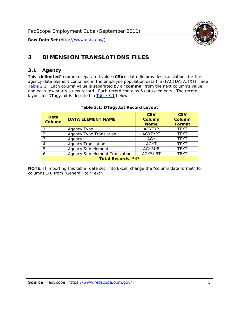

# <span id="page-5-0"></span>**3 DIMENSION TRANSLATIONS FILES**

#### <span id="page-5-1"></span>*3.1 Agency*

<span id="page-5-3"></span><span id="page-5-2"></span>This "**delimited**" (comma separated value (**CSV**)) data file provides translations for the agency data element contained in the employee population data file (FACTDATA.TXT). See [Table 2.1.](#page-4-1) Each column value is separated by a "**comma**" from the next column's value and each row starts a new record. Each record contains 6 data elements. The record layout for DTagy.txt is depicted in [Table 3.1](#page-5-3) below:

| Data<br><b>Column</b>     | <b>DATA ELEMENT NAME</b>       | <b>CSV</b><br><b>Column</b><br><b>Name</b> | <b>CSV</b><br>Column<br><b>Format</b> |  |
|---------------------------|--------------------------------|--------------------------------------------|---------------------------------------|--|
|                           | Agency Type                    | <b>AGYTYP</b>                              | <b>TEXT</b>                           |  |
| 2                         | <b>Agency Type Translation</b> | <b>AGYTYPT</b>                             | <b>TEXT</b>                           |  |
| 3                         | Agency                         | AGY                                        | <b>TEXT</b>                           |  |
|                           | <b>Agency Translation</b>      | <b>AGYT</b>                                | <b>TEXT</b>                           |  |
| -5                        | Agency Sub element             | <b>AGYSUB</b>                              | <b>TEXT</b>                           |  |
|                           | Agency Sub element Translation | <b>AGYSUBT</b>                             | <b>TEXT</b>                           |  |
| <b>Total Records: 543</b> |                                |                                            |                                       |  |

#### **Table 3.1: DTagy.txt Record Layout**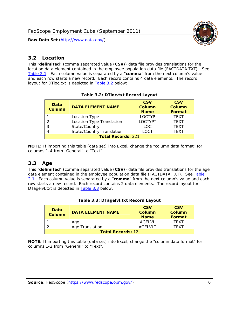

#### <span id="page-6-0"></span>*3.2 Location*

<span id="page-6-4"></span><span id="page-6-2"></span>This "**delimited**" (comma separated value (**CSV**)) data file provides translations for the location data element contained in the employee population data file (FACTDATA.TXT). See [Table 2.1.](#page-4-1) Each column value is separated by a "**comma**" from the next column's value and each row starts a new record. Each record contains 4 data elements. The record layout for DTloc.txt is depicted in [Table 3.2](#page-6-4) below:

| Data<br><b>Column</b>     | <b>DATA ELEMENT NAME</b>         | <b>CSV</b><br><b>Column</b><br><b>Name</b> | <b>CSV</b><br><b>Column</b><br><b>Format</b> |  |
|---------------------------|----------------------------------|--------------------------------------------|----------------------------------------------|--|
|                           | Location Type                    | <b>LOCTYP</b>                              | <b>TEXT</b>                                  |  |
|                           | Location Type Translation        | <b>LOCTYPT</b>                             | <b>TEXT</b>                                  |  |
| ⌒                         | State/Country                    | LOC.                                       | <b>TEXT</b>                                  |  |
|                           | <b>State/Country Translation</b> | LOCT                                       | <b>TFXT</b>                                  |  |
| <b>Total Records: 221</b> |                                  |                                            |                                              |  |

#### **Table 3.2: DTloc.txt Record Layout**

**NOTE**: If importing this table (data set) into Excel, change the "column data format" for columns 1-4 from "General" to "Text".

#### <span id="page-6-1"></span>*3.3 Age*

<span id="page-6-5"></span><span id="page-6-3"></span>This "**delimited**" (comma separated value (**CSV**)) data file provides translations for the age data element contained in the employee population data file (FACTDATA.TXT). See [Table](#page-4-1) [2.1](#page-4-1). Each column value is separated by a "**comma**" from the next column's value and each row starts a new record. Each record contains 2 data elements. The record layout for DTagelvl.txt is depicted in [Table 3.3](#page-6-5) below:

| Data<br>Column           | <b>DATA ELEMENT NAME</b> | <b>CSV</b><br>Column<br><b>Name</b> | <b>CSV</b><br>Column<br><b>Format</b> |  |
|--------------------------|--------------------------|-------------------------------------|---------------------------------------|--|
|                          | Aae                      | AGELVL                              | TFXT                                  |  |
|                          | Age Translation          | AGFI VI T                           | TFXT                                  |  |
| <b>Total Records: 12</b> |                          |                                     |                                       |  |

|  |  | Table 3.3: DTagelvl.txt Record Layout |  |
|--|--|---------------------------------------|--|
|  |  |                                       |  |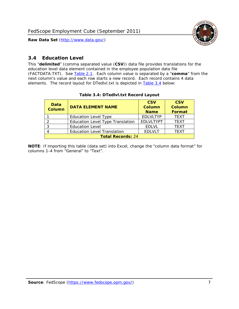

#### <span id="page-7-0"></span>*3.4 Education Level*

<span id="page-7-2"></span><span id="page-7-1"></span>This "**delimited**" (comma separated value (**CSV**)) data file provides translations for the education level data element contained in the employee population data file (FACTDATA.TXT). See [Table 2.1](#page-4-1). Each column value is separated by a "**comma**" from the next column's value and each row starts a new record. Each record contains 4 data elements. The record layout for DTedlvl.txt is depicted in [Table 3.4](#page-7-2) below:

| Data<br><b>Column</b>    | <b>DATA ELEMENT NAME</b>           | <b>CSV</b><br><b>Column</b><br><b>Name</b> | <b>CSV</b><br><b>Column</b><br><b>Format</b> |  |  |
|--------------------------|------------------------------------|--------------------------------------------|----------------------------------------------|--|--|
|                          | <b>Education Level Type</b>        | <b>EDLVLTYP</b>                            | <b>TEXT</b>                                  |  |  |
|                          | Education Level Type Translation   | <b>EDLVLTYPT</b>                           | <b>TEXT</b>                                  |  |  |
|                          | <b>Education Level</b>             | <b>EDLVL</b>                               | <b>TEXT</b>                                  |  |  |
|                          | <b>Education Level Translation</b> | <b>EDLVLT</b>                              | <b>TEXT</b>                                  |  |  |
| <b>Total Records: 24</b> |                                    |                                            |                                              |  |  |

#### **Table 3.4: DTedlvl.txt Record Layout**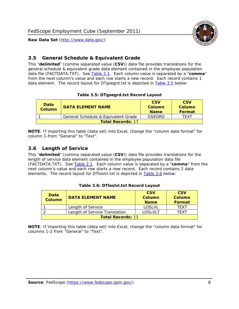

#### <span id="page-8-0"></span>*3.5 General Schedule & Equivalent Grade*

This "**delimited**" (comma separated value (**CSV**)) data file provides translations for the general schedule & equivalent grade data element contained in the employee population data file (FACTDATA.TXT). See [Table 2.1](#page-4-1). Each column value is separated by a "**comma**" from the next column's value and each row starts a new record. Each record contains 1 data element. The record layout for DTgsegrd.txt is depicted in [Table 3.5](#page-8-4) below:

#### **Table 3.5: DTgsegrd.txt Record Layout**

<span id="page-8-4"></span><span id="page-8-2"></span>

| Data<br>Column           | DATA FI FMFNT NAMF                  | <b>CSV</b><br>Column<br><b>Name</b> | <b>CSV</b><br>Column<br><b>Format</b> |  |  |
|--------------------------|-------------------------------------|-------------------------------------|---------------------------------------|--|--|
|                          | General Schedule & Equivalent Grade | GSFGRD                              | TFXT                                  |  |  |
| <b>Total Records: 17</b> |                                     |                                     |                                       |  |  |

**NOTE**: If importing this table (data set) into Excel, change the "column data format" for column 1-from "General" to "Text".

#### <span id="page-8-1"></span>*3.6 Length of Service*

<span id="page-8-5"></span>This "**delimited**" (comma separated value (**CSV**)) data file provides translations for the length of service data element contained in the employee population data file (FACTDATA.TXT). See [Table 2.1](#page-4-1). Each column value is separated by a "**comma**" from the next column's value and each row starts a new record. Each record contains 2 data elements. The record layout for DTloslvl.txt is depicted in [Table 3.6](#page-8-5) below:

<span id="page-8-3"></span>

| <b>Data</b><br>Column    | <b>DATA FI FMFNT NAMF</b>     | <b>CSV</b><br>Column<br><b>Name</b> | <b>CSV</b><br>Column<br>Format |  |  |
|--------------------------|-------------------------------|-------------------------------------|--------------------------------|--|--|
|                          | Length of Service             | LOSLVL                              | TFXT                           |  |  |
|                          | Length of Service Translation | LOSI VLT                            | TFXT                           |  |  |
| <b>Total Records: 11</b> |                               |                                     |                                |  |  |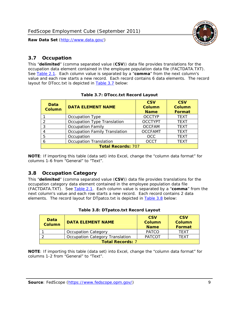

#### <span id="page-9-0"></span>*3.7 Occupation*

<span id="page-9-4"></span>This "**delimited**" (comma separated value (**CSV**)) data file provides translations for the occupation data element contained in the employee population data file (FACTDATA.TXT). See [Table 2.1](#page-4-1). Each column value is separated by a "**comma**" from the next column's value and each row starts a new record. Each record contains 6 data elements. The record layout for DTocc.txt is depicted in [Table 3.7](#page-9-4) below:

<span id="page-9-2"></span>

| Data<br><b>Column</b>     | <b>DATA ELEMENT NAME</b>             | <b>CSV</b><br><b>Column</b><br><b>Name</b> | <b>CSV</b><br><b>Column</b><br><b>Format</b> |  |  |
|---------------------------|--------------------------------------|--------------------------------------------|----------------------------------------------|--|--|
|                           | Occupation Type                      | <b>OCCTYP</b>                              | <b>TEXT</b>                                  |  |  |
|                           | Occupation Type Translation          | <b>OCCTYPT</b>                             | <b>TEXT</b>                                  |  |  |
| 3                         | <b>Occupation Family</b>             | <b>OCCFAM</b>                              | <b>TEXT</b>                                  |  |  |
|                           | <b>Occupation Family Translation</b> | <b>OCCFAMT</b>                             | <b>TEXT</b>                                  |  |  |
| 5                         | Occupation                           | <b>OCC</b>                                 | <b>TEXT</b>                                  |  |  |
|                           | <b>Occupation Translation</b>        | <b>OCCT</b>                                | <b>TEXT</b>                                  |  |  |
| <b>Total Records: 707</b> |                                      |                                            |                                              |  |  |

#### **Table 3.7: DTocc.txt Record Layout**

**NOTE**: If importing this table (data set) into Excel, change the "column data format" for columns 1-6 from "General" to "Text".

#### <span id="page-9-1"></span>*3.8 Occupation Category*

<span id="page-9-5"></span>This "**delimited**" (comma separated value (**CSV**)) data file provides translations for the occupation category data element contained in the employee population data file (FACTDATA.TXT). See [Table 2.1](#page-4-1). Each column value is separated by a "**comma**" from the next column's value and each row starts a new record. Each record contains 2 data elements. The record layout for DTpatco.txt is depicted in [Table 3.8](#page-9-5) below:

<span id="page-9-3"></span>

| Data<br><b>Column</b>   | <b>DATA ELEMENT NAME</b>        | <b>CSV</b><br>Column<br><b>Name</b> | <b>CSV</b><br>Column<br>Format |  |
|-------------------------|---------------------------------|-------------------------------------|--------------------------------|--|
|                         | <b>Occupation Category</b>      | <b>PATCO</b>                        | <b>TFXT</b>                    |  |
|                         | Occupation Category Translation | <b>PATCOT</b>                       | TFXT                           |  |
| <b>Total Records: 7</b> |                                 |                                     |                                |  |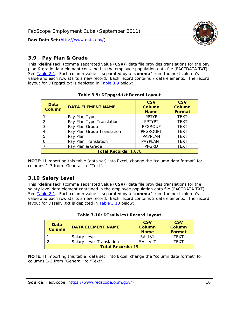

#### <span id="page-10-0"></span>*3.9 Pay Plan & Grade*

<span id="page-10-4"></span>This "**delimited**" (comma separated value (**CSV**)) data file provides translations for the pay plan & grade data element contained in the employee population data file (FACTDATA.TXT). See [Table 2.1](#page-4-1). Each column value is separated by a "**comma**" from the next column's value and each row starts a new record. Each record contains 7 data elements. The record layout for DTppgrd.txt is depicted in **Table 3.9** below:

<span id="page-10-2"></span>

| Data<br><b>Column</b>       | <b>DATA ELEMENT NAME</b>   | <b>CSV</b><br>Column<br><b>Name</b> | <b>CSV</b><br>Column<br><b>Format</b> |  |
|-----------------------------|----------------------------|-------------------------------------|---------------------------------------|--|
|                             | Pay Plan Type              | <b>PPTYP</b>                        | <b>TEXT</b>                           |  |
| $\mathcal{P}$               | Pay Plan Type Translation  | <b>PPTYPT</b>                       | <b>TEXT</b>                           |  |
| 3                           | Pay Plan Group             | <b>PPGROUP</b>                      | <b>TEXT</b>                           |  |
|                             | Pay Plan Group Translation | <b>PPGROUPT</b>                     | <b>TEXT</b>                           |  |
| 5                           | Pay Plan                   | <b>PAYPLAN</b>                      | <b>TEXT</b>                           |  |
| 6                           | Pay Plan Translation       | PAYPLANT                            | <b>TEXT</b>                           |  |
|                             | Pay Plan & Grade           | <b>PPGRD</b>                        | <b>TEXT</b>                           |  |
| <b>Total Records: 1,078</b> |                            |                                     |                                       |  |

#### **Table 3.9: DTppgrd.txt Record Layout**

**NOTE**: If importing this table (data set) into Excel, change the "column data format" for columns 1-7 from "General" to "Text".

## <span id="page-10-1"></span>*3.10 Salary Level*

<span id="page-10-5"></span><span id="page-10-3"></span>This "**delimited**" (comma separated value (**CSV**)) data file provides translations for the salary level data element contained in the employee population data file (FACTDATA.TXT). See [Table 2.1](#page-4-1). Each column value is separated by a "**comma**" from the next column's value and each row starts a new record. Each record contains 2 data elements. The record layout for DTsallvl.txt is depicted in [Table 3.10](#page-10-5) below:

| <b>Data</b><br>Column    | <b>DATA ELEMENT NAME</b>        | <b>CSV</b><br>Column<br><b>Name</b> | <b>CSV</b><br>Column<br><b>Format</b> |
|--------------------------|---------------------------------|-------------------------------------|---------------------------------------|
|                          | Salary Level                    | <b>SALLVL</b>                       | TFXT                                  |
|                          | <b>Salary Level Translation</b> | SAI I VI T                          | TEXT                                  |
| <b>Total Records: 19</b> |                                 |                                     |                                       |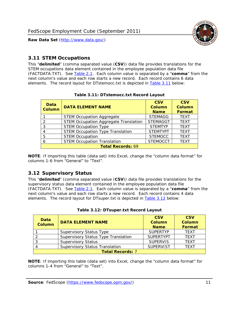

#### <span id="page-11-0"></span>*3.11 STEM Occupations*

<span id="page-11-4"></span>This "**delimited**" (comma separated value (**CSV**)) data file provides translations for the STEM occupations data element contained in the employee population data file (FACTDATA.TXT). See [Table 2.1](#page-4-1). Each column value is separated by a "**comma**" from the next column's value and each row starts a new record. Each record contains 6 data elements. The record layout for DTstemocc.txt is depicted in [Table 3.11](#page-11-4) below:

<span id="page-11-2"></span>

| <b>Data</b><br><b>Column</b> | <b>DATA ELEMENT NAME</b>                     | <b>CSV</b><br><b>Column</b><br><b>Name</b> | <b>CSV</b><br><b>Column</b><br><b>Format</b> |  |
|------------------------------|----------------------------------------------|--------------------------------------------|----------------------------------------------|--|
|                              | <b>STEM Occupation Aggregate</b>             | <b>STEMAGG</b>                             | <b>TEXT</b>                                  |  |
|                              | <b>STEM Occupation Aggregate Translation</b> | <b>STEMAGGT</b>                            | <b>TEXT</b>                                  |  |
| 3                            | <b>STEM Occupation Type</b>                  | <b>STEMTYP</b>                             | <b>TEXT</b>                                  |  |
|                              | <b>STEM Occupation Type Translation</b>      | <b>STEMTYPT</b>                            | <b>TEXT</b>                                  |  |
| 5                            | <b>STEM Occupation</b>                       | <b>STEMOCC</b>                             | <b>TEXT</b>                                  |  |
|                              | <b>STEM Occupation Translation</b>           | <b>STEMOCCT</b>                            | <b>TEXT</b>                                  |  |
| <b>Total Records: 69</b>     |                                              |                                            |                                              |  |

#### **Table 3.11: DTstemocc.txt Record Layout**

**NOTE**: If importing this table (data set) into Excel, change the "column data format" for columns 1-6 from "General" to "Text".

## <span id="page-11-1"></span>*3.12 Supervisory Status*

This "**delimited**" (comma separated value (**CSV**)) data file provides translations for the supervisory status data element contained in the employee population data file (FACTDATA.TXT). See [Table 2.1](#page-4-1). Each column value is separated by a "**comma**" from the next column's value and each row starts a new record. Each record contains 4 data elements. The record layout for DTsuper.txt is depicted in [Table 3.12](#page-11-5) below:

<span id="page-11-5"></span><span id="page-11-3"></span>

| Data<br><b>Column</b>   | <b>DATA ELEMENT NAME</b>              | <b>CSV</b><br>Column<br><b>Name</b> | <b>CSV</b><br><b>Column</b><br>Format |  |
|-------------------------|---------------------------------------|-------------------------------------|---------------------------------------|--|
|                         | <b>Supervisory Status Type</b>        | <b>SUPFRTYP</b>                     | <b>TEXT</b>                           |  |
|                         | Supervisory Status Type Translation   | <b>SUPERTYPT</b>                    | <b>TEXT</b>                           |  |
|                         | <b>Supervisory Status</b>             | <b>SUPERVIS</b>                     | <b>TEXT</b>                           |  |
|                         | <b>Supervisory Status Translation</b> | <b>SUPERVIST</b>                    | <b>TEXT</b>                           |  |
| <b>Total Records: 7</b> |                                       |                                     |                                       |  |

|  | Table 3.12: DTsuper.txt Record Layout |  |
|--|---------------------------------------|--|
|--|---------------------------------------|--|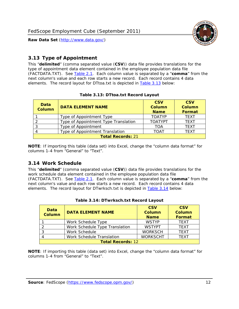

#### <span id="page-12-0"></span>*3.13 Type of Appointment*

This "**delimited**" (comma separated value (**CSV**)) data file provides translations for the type of appointment data element contained in the employee population data file (FACTDATA.TXT). See [Table 2.1](#page-4-1). Each column value is separated by a "**comma**" from the next column's value and each row starts a new record. Each record contains 4 data elements. The record layout for DTtoa.txt is depicted in [Table 3.13](#page-12-4) below:

<span id="page-12-4"></span><span id="page-12-2"></span>

| Data<br><b>Column</b>    | <b>DATA ELEMENT NAME</b>             | <b>CSV</b><br><b>Column</b><br><b>Name</b> | <b>CSV</b><br><b>Column</b><br><b>Format</b> |  |
|--------------------------|--------------------------------------|--------------------------------------------|----------------------------------------------|--|
|                          | Type of Appointment Type             | <b>TOATYP</b>                              | <b>TFXT</b>                                  |  |
|                          | Type of Appointment Type Translation | <b>TOATYPT</b>                             | <b>TEXT</b>                                  |  |
|                          | Type of Appointment                  | <b>TOA</b>                                 | <b>TEXT</b>                                  |  |
|                          | Type of Appointment Translation      | <b>TOAT</b>                                | <b>TFXT</b>                                  |  |
| <b>Total Records: 21</b> |                                      |                                            |                                              |  |

#### **Table 3.13: DTtoa.txt Record Layout**

**NOTE**: If importing this table (data set) into Excel, change the "column data format" for columns 1-4 from "General" to "Text".

#### <span id="page-12-1"></span>*3.14 Work Schedule*

<span id="page-12-5"></span>This "**delimited**" (comma separated value (**CSV**)) data file provides translations for the work schedule data element contained in the employee population data file (FACTDATA.TXT). See [Table 2.1](#page-4-1). Each column value is separated by a "**comma**" from the next column's value and each row starts a new record. Each record contains 4 data elements. The record layout for DTwrksch.txt is depicted in [Table 3.14](#page-12-5) below:

<span id="page-12-3"></span>

| Data<br><b>Column</b>    | <b>DATA ELEMENT NAME</b>       | <b>CSV</b><br>Column<br><b>Name</b> | <b>CSV</b><br><b>Column</b><br><b>Format</b> |  |
|--------------------------|--------------------------------|-------------------------------------|----------------------------------------------|--|
|                          | Work Schedule Type             | <b>WSTYP</b>                        | <b>TEXT</b>                                  |  |
|                          | Work Schedule Type Translation | <b>WSTYPT</b>                       | <b>TFXT</b>                                  |  |
| 3                        | Work Schedule                  | <b>WORKSCH</b>                      | <b>TFXT</b>                                  |  |
|                          | Work Schedule Translation      | <b>WORKSCHT</b>                     | <b>TFXT</b>                                  |  |
| <b>Total Records: 12</b> |                                |                                     |                                              |  |

|  | Table 3.14: DTwrksch.txt Record Layout |  |
|--|----------------------------------------|--|
|  |                                        |  |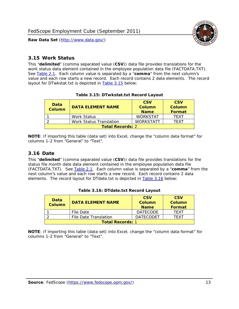

#### <span id="page-13-0"></span>*3.15 Work Status*

<span id="page-13-4"></span><span id="page-13-2"></span>This "**delimited**" (comma separated value (**CSV**)) data file provides translations for the work status data element contained in the employee population data file (FACTDATA.TXT). See [Table 2.1](#page-4-1). Each column value is separated by a "**comma**" from the next column's value and each row starts a new record. Each record contains 2 data elements. The record layout for DTwkstat.txt is depicted in [Table 3.15](#page-13-4) below:

| Data<br><b>Column</b>   | <b>DATA ELEMENT NAME</b>       | <b>CSV</b><br>Column<br><b>Name</b> | <b>CSV</b><br>Column<br><b>Format</b> |
|-------------------------|--------------------------------|-------------------------------------|---------------------------------------|
|                         | <b>Work Status</b>             | <b>WORKSTAT</b>                     | TFXT                                  |
|                         | <b>Work Status Translation</b> | <b>WORKSTATT</b>                    | TFXT                                  |
| <b>Total Records: 2</b> |                                |                                     |                                       |

#### **Table 3.15: DTwkstat.txt Record Layout**

**NOTE**: If importing this table (data set) into Excel, change the "column data format" for columns 1-2 from "General" to "Text".

#### <span id="page-13-1"></span>*3.16 Date*

<span id="page-13-5"></span><span id="page-13-3"></span>This "**delimited**" (comma separated value (**CSV**)) data file provides translations for the status file month date data element contained in the employee population data file (FACTDATA.TXT). See [Table 2.1](#page-4-1). Each column value is separated by a "**comma**" from the next column's value and each row starts a new record. Each record contains 2 data elements. The record layout for DTdate.txt is depicted in [Table 3.16](#page-13-5) below:

| Data<br><b>Column</b>   | <b>DATA ELEMENT NAME</b> | <b>CSV</b><br>Column<br><b>Name</b> | <b>CSV</b><br>Column<br><b>Format</b> |
|-------------------------|--------------------------|-------------------------------------|---------------------------------------|
|                         | File Date                | <b>DATECODE</b>                     | TFXT                                  |
|                         | File Date Translation    | <b>DATECODET</b>                    | TFXT                                  |
| <b>Total Records: 1</b> |                          |                                     |                                       |

**Table 3.16: DTdate.txt Record Layout**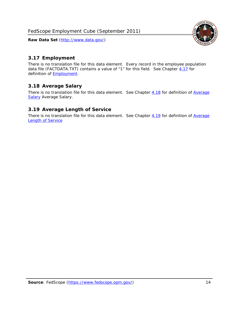<span id="page-14-0"></span>

There is no translation file for this data element. Every record in the employee population data file (FACTDATA.TXT) contains a value of "1" for this field. See Chapter [4.17](#page-16-8) for definition of **Employment**.

## <span id="page-14-1"></span>*3.18 Average Salary*

There is no translation file for this data element. See Chapter [4.18](#page-17-1) for definition of [Average](#page-17-1) **[Salary](#page-17-1) [Average Salary.](#page-17-1)** 

#### <span id="page-14-2"></span>*3.19 Average Length of Service*

There is no translation file for this data element. See Chapter [4.19](#page-17-2) for definition of [Average](#page-17-2) Length of Service

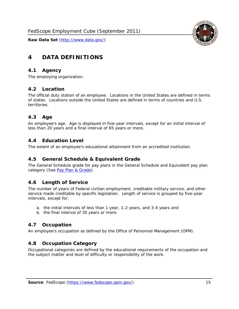

## <span id="page-15-0"></span>**4 DATA DEFINITIONS**

#### <span id="page-15-1"></span>*4.1 Agency*

The employing organization.

#### <span id="page-15-2"></span>*4.2 Location*

The official duty station of an employee. Locations in the United States are defined in terms of states. Locations outside the United States are defined in terms of countries and U.S. territories.

#### <span id="page-15-3"></span>*4.3 Age*

An employee's age. Age is displayed in five-year intervals, except for an initial interval of less than 20 years and a final interval of 65 years or more.

#### <span id="page-15-4"></span>*4.4 Education Level*

The extent of an employee's educational attainment from an accredited institution.

#### <span id="page-15-5"></span>*4.5 General Schedule & Equivalent Grade*

The General Schedule grade for pay plans in the General Schedule and Equivalent pay plan category (See [Pay Plan & Grade](#page-16-0)).

#### <span id="page-15-6"></span>*4.6 Length of Service*

The number of years of Federal civilian employment, creditable military service, and other service made creditable by specific legislation. Length of service is grouped by five-year intervals, except for:

- a. the initial intervals of less than 1 year, 1-2 years, and 3-4 years and
- b. the final interval of 35 years or more.

#### <span id="page-15-7"></span>*4.7 Occupation*

An employee's occupation as defined by the Office of Personnel Management (OPM).

#### <span id="page-15-8"></span>*4.8 Occupation Category*

Occupational categories are defined by the educational requirements of the occupation and the subject matter and level of difficulty or responsibility of the work.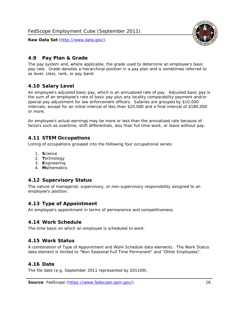<span id="page-16-0"></span>

The pay system and, where applicable, the grade used to determine an employee's basic pay rate. Grade denotes a hierarchical position in a pay plan and is sometimes referred to as level, class, rank, or pay band.

## <span id="page-16-1"></span>*4.10 Salary Level*

An employee's adjusted basic pay, which is an annualized rate of pay. Adjusted basic pay is the sum of an employee's rate of basic pay plus any locality comparability payment and/or special pay adjustment for law enforcement officers. Salaries are grouped by \$10,000 intervals, except for an initial interval of less than \$20,000 and a final interval of \$180,000 or more.

An employee's actual earnings may be more or less than the annualized rate because of factors such as overtime, shift differentials, less than full time work, or leave without pay.

## <span id="page-16-2"></span>*4.11 STEM Occupations*

Listing of occupations grouped into the following four occupational series:

- 1. **S**cience
- 2. **T**echnology
- 3. **E**ngineering
- 4. **M**athematics

## <span id="page-16-3"></span>*4.12 Supervisory Status*

The nature of managerial, supervisory, or non-supervisory responsibility assigned to an employee's position.

#### <span id="page-16-4"></span>*4.13 Type of Appointment*

An employee's appointment in terms of permanence and competitiveness.

#### <span id="page-16-5"></span>*4.14 Work Schedule*

The time basis on which an employee is scheduled to work.

#### <span id="page-16-6"></span>*4.15 Work Status*

A combination of Type of Appointment and Work Schedule data elements. The Work Status data element is limited to "Non-Seasonal Full Time Permanent" and "Other Employees".

#### <span id="page-16-7"></span>*4.16 Date*

<span id="page-16-8"></span>The file date (e.g. September 2011 represented by 201109).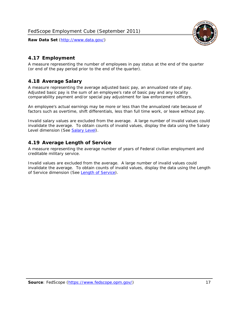

#### <span id="page-17-0"></span>*4.17 Employment*

A measure representing the number of employees in pay status at the end of the quarter (or end of the pay period prior to the end of the quarter).

#### <span id="page-17-1"></span>*4.18 Average Salary*

A measure representing the average adjusted basic pay, an annualized rate of pay. Adjusted basic pay is the sum of an employee's rate of basic pay and any locality comparability payment and/or special pay adjustment for law enforcement officers.

An employee's actual earnings may be more or less than the annualized rate because of factors such as overtime, shift differentials, less than full time work, or leave without pay.

Invalid salary values are excluded from the average. A large number of invalid values could invalidate the average. To obtain counts of invalid values, display the data using the Salary Level dimension (See [Salary Level\)](#page-16-1).

#### <span id="page-17-2"></span>*4.19 Average Length of Service*

A measure representing the average number of years of Federal civilian employment and creditable military service.

Invalid values are excluded from the average. A large number of invalid values could invalidate the average. To obtain counts of invalid values, display the data using the Length of Service dimension (See [Length of Service](#page-15-6)).